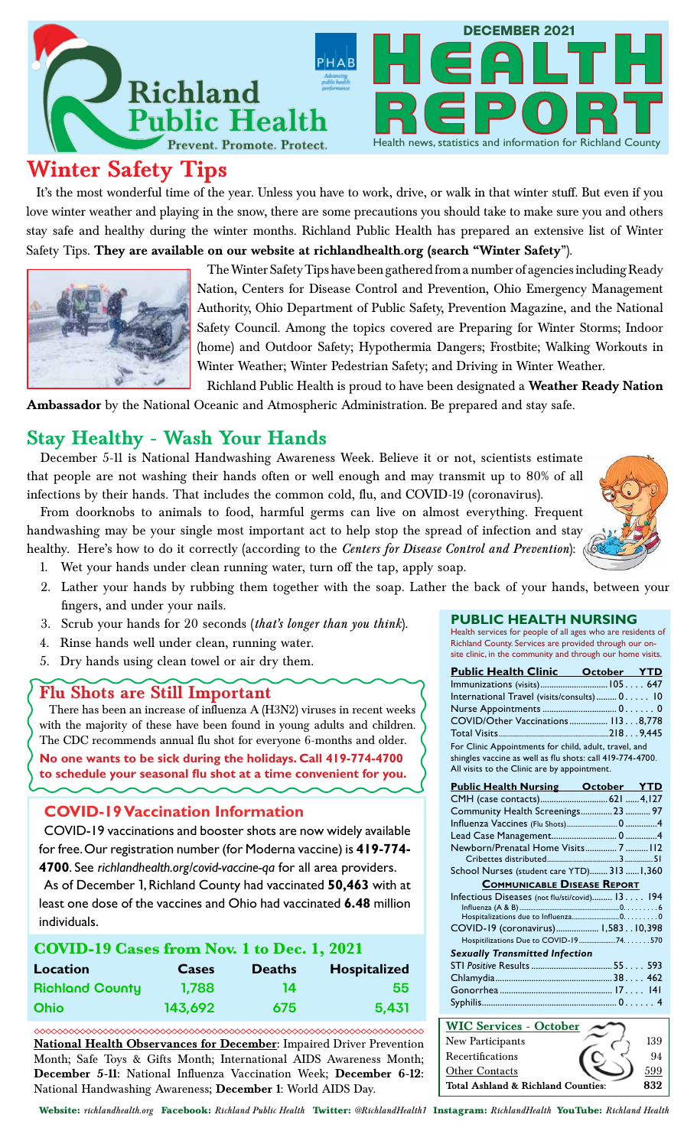

# **Winter Safety Tips**

It's the most wonderful time of the year. Unless you have to work, drive, or walk in that winter stuff. But even if you love winter weather and playing in the snow, there are some precautions you should take to make sure you and others stay safe and healthy during the winter months. Richland Public Health has prepared an extensive list of Winter Safety Tips. **They are available on our website at richlandhealth.org (search "Winter Safety**").



The Winter Safety Tips have been gathered from a number of agencies including Ready Nation, Centers for Disease Control and Prevention, Ohio Emergency Management Authority, Ohio Department of Public Safety, Prevention Magazine, and the National Safety Council. Among the topics covered are Preparing for Winter Storms; Indoor (home) and Outdoor Safety; Hypothermia Dangers; Frostbite; Walking Workouts in Winter Weather; Winter Pedestrian Safety; and Driving in Winter Weather. Richland Public Health is proud to have been designated a **Weather Ready Nation** 

**Ambassador** by the National Oceanic and Atmospheric Administration. Be prepared and stay safe.

### **Stay Healthy - Wash Your Hands**

December 5-11 is National Handwashing Awareness Week. Believe it or not, scientists estimate that people are not washing their hands often or well enough and may transmit up to 80% of all infections by their hands. That includes the common cold, flu, and COVID-19 (coronavirus).

From doorknobs to animals to food, harmful germs can live on almost everything. Frequent handwashing may be your single most important act to help stop the spread of infection and stay healthy. Here's how to do it correctly (according to the *Centers for Disease Control and Prevention*):



1. Wet your hands under clean running water, turn off the tap, apply soap.

- 2. Lather your hands by rubbing them together with the soap. Lather the back of your hands, between your fingers, and under your nails.
- 3. Scrub your hands for 20 seconds (*that's longer than you think*).
- 4. Rinse hands well under clean, running water.
- 5. Dry hands using clean towel or air dry them.

### **Flu Shots are Still Important**

 There has been an increase of influenza A (H3N2) viruses in recent weeks with the majority of these have been found in young adults and children. The CDC recommends annual flu shot for everyone 6-months and older.

**No one wants to be sick during the holidays. Call 419-774-4700 to schedule your seasonal flu shot at a time convenient for you.**

### **COVID-19 Vaccination Information**

COVID-19 vaccinations and booster shots are now widely available for free. Our registration number (for Moderna vaccine) is **419-774- 4700**. See *richlandhealth.org/covid-vaccine-qa* for all area providers.

As of December 1, Richland County had vaccinated **50,463** with at least one dose of the vaccines and Ohio had vaccinated **6.48** million individuals.

| COVID-19 Cases from Nov. 1 to Dec. 1, 2021 |         |               |              |
|--------------------------------------------|---------|---------------|--------------|
| Location                                   | Cases   | <b>Deaths</b> | Hospitalized |
| <b>Richland County</b>                     | 1.788   | 14            | 55           |
| <b>Ohio</b>                                | 143,692 | 675           | 5,431        |

**National Health Observances for December:** Impaired Driver Prevention Month; Safe Toys & Gifts Month; International AIDS Awareness Month; **December 5-11:** National Influenza Vaccination Week; **December 6-12:** National Handwashing Awareness; **December 1**: World AIDS Day.

### **PUBLIC HEALTH NURSING**

Health services for people of all ages who are residents of Richland County. Services are provided through our onsite clinic, in the community and through our home visits.

| <b>Public Health Clinic October YTD</b>                                                                                                                            |             |  |  |
|--------------------------------------------------------------------------------------------------------------------------------------------------------------------|-------------|--|--|
|                                                                                                                                                                    |             |  |  |
| International Travel (visits/consults)  0 10                                                                                                                       |             |  |  |
| Nurse Appointments  0. 0                                                                                                                                           |             |  |  |
| COVID/Other Vaccinations 1138,778                                                                                                                                  |             |  |  |
|                                                                                                                                                                    |             |  |  |
| For Clinic Appointments for child, adult, travel, and<br>shingles vaccine as well as flu shots: call 419-774-4700.<br>All visits to the Clinic are by appointment. |             |  |  |
| <b>Public Health Nursing</b>                                                                                                                                       | October YTD |  |  |

| <u>Public Health Nursing October YTD</u>       |  |  |  |
|------------------------------------------------|--|--|--|
| CMH (case contacts) 621  4,127                 |  |  |  |
| Community Health Screenings 23  97             |  |  |  |
|                                                |  |  |  |
|                                                |  |  |  |
| Newborn/Prenatal Home Visits7112               |  |  |  |
|                                                |  |  |  |
| School Nurses (student care YTD) 313  1,360    |  |  |  |
| <b>COMMUNICABLE DISEASE REPORT</b>             |  |  |  |
| Infectious Diseases (not flu/sti/covid) 13 194 |  |  |  |
|                                                |  |  |  |
| Hospitalizations due to Influenza0. 0          |  |  |  |
| COVID-19 (coronavirus) 1,58310,398             |  |  |  |
| Hospitilizations Due to COVID-19 74. 570       |  |  |  |
| <b>Sexually Transmitted Infection</b>          |  |  |  |
|                                                |  |  |  |
|                                                |  |  |  |
|                                                |  |  |  |
|                                                |  |  |  |
|                                                |  |  |  |

| <b>WIC Services - October</b>      |     |
|------------------------------------|-----|
| New Participants                   | 139 |
| Recertifications                   | 94  |
| <b>Other Contacts</b>              | 599 |
| Total Ashland & Richland Counties: |     |

Website: *richlandhealth.org* Facebook: *Richland Public Health* Twitter: *@RichlandHealth1* Instagram: *RichlandHealth* YouTube: *Richland Health*